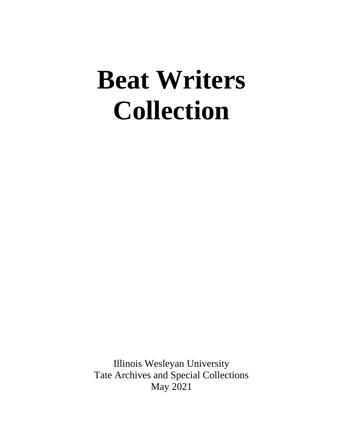# **Beat Writers Collection**

Illinois Wesleyan University Tate Archives and Special Collections May 2021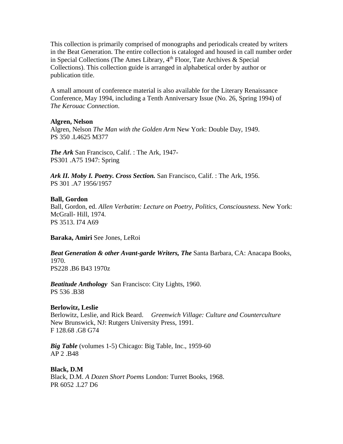This collection is primarily comprised of monographs and periodicals created by writers in the Beat Generation. The entire collection is cataloged and housed in call number order in Special Collections (The Ames Library,  $4<sup>th</sup>$  Floor, Tate Archives & Special Collections). This collection guide is arranged in alphabetical order by author or publication title.

A small amount of conference material is also available for the Literary Renaissance Conference, May 1994, including a Tenth Anniversary Issue (No. 26, Spring 1994) of *The Kerouac Connection*.

# **Algren, Nelson**

Algren, Nelson *The Man with the Golden Arm* New York: Double Day, 1949. PS 350 .L4625 M377

*The Ark* San Francisco, Calif. : The Ark, 1947- PS301 .A75 1947: Spring

*Ark II. Moby I. Poetry. Cross Section.* San Francisco, Calif. : The Ark, 1956. PS 301 .A7 1956/1957

# **Ball, Gordon**

Ball, Gordon, ed. *Allen Verbatim: Lecture on Poetry, Politics, Consciousness*. New York: McGrall- Hill, 1974. PS 3513. I74 A69

**Baraka, Amiri** See Jones, LeRoi

*Beat Generation & other Avant-garde Writers, The* Santa Barbara, CA: Anacapa Books, 1970. PS228 .B6 B43 1970z

*Beatitude Anthology* San Francisco: City Lights, 1960. PS 536 .B38

# **Berlowitz, Leslie**

Berlowitz, Leslie, and Rick Beard. *Greenwich Village: Culture and Counterculture* New Brunswick, NJ: Rutgers University Press, 1991. F 128.68 .G8 G74

*Big Table* (volumes 1-5) Chicago: Big Table, Inc., 1959-60 AP 2 .B48

**Black, D.M** Black, D.M. *A Dozen Short Poems* London: Turret Books, 1968. PR 6052 .L27 D6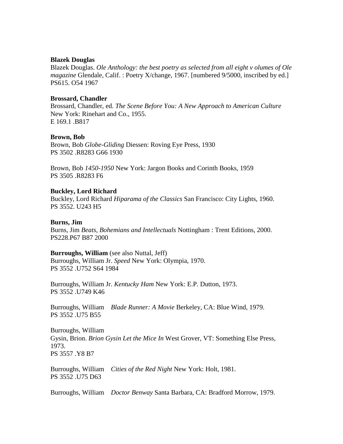#### **Blazek Douglas**

Blazek Douglas. *Ole Anthology: the best poetry as selected from all eight v olumes of Ole magazine* Glendale, Calif.: Poetry X/change, 1967. [numbered 9/5000, inscribed by ed.] PS615. O54 1967

#### **Brossard, Chandler**

Brossard, Chandler, ed. *The Scene Before You: A New Approach to American Culture* New York: Rinehart and Co., 1955. E 169.1 .B817

# **Brown, Bob**

Brown, Bob *Globe-Gliding* Diessen: Roving Eye Press, 1930 PS 3502 .R8283 G66 1930

Brown, Bob *1450-1950* New York: Jargon Books and Corinth Books, 1959 PS 3505 .R8283 F6

# **Buckley, Lord Richard**

Buckley, Lord Richard *Hiparama of the Classics* San Francisco: City Lights, 1960. PS 3552. U243 H5

#### **Burns, Jim**

Burns, Jim *Beats, Bohemians and Intellectuals* Nottingham : Trent Editions, 2000. PS228.P67 B87 2000

# **Burroughs, William** (see also Nuttal, Jeff)

Burroughs, William Jr. *Speed* New York: Olympia, 1970. PS 3552 .U752 S64 1984

Burroughs, William Jr. *Kentucky Ham* New York: E.P. Dutton, 1973. PS 3552 .U749 K46

Burroughs, William *Blade Runner: A Movie* Berkeley, CA: Blue Wind, 1979. PS 3552 .U75 B55

Burroughs, William Gysin, Brion. *Brion Gysin Let the Mice In* West Grover, VT: Something Else Press, 1973. PS 3557 .Y8 B7

Burroughs, William *Cities of the Red Night* New York: Holt, 1981. PS 3552 .U75 D63

Burroughs, William *Doctor Benway* Santa Barbara, CA: Bradford Morrow, 1979.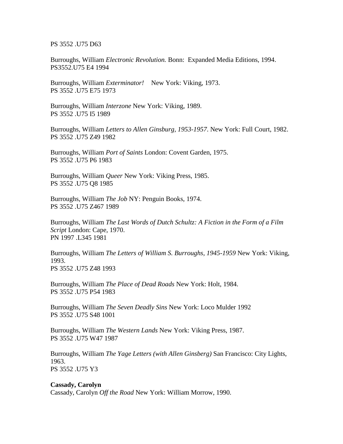PS 3552 .U75 D63

Burroughs, William *Electronic Revolution.* Bonn: Expanded Media Editions, 1994. PS3552.U75 E4 1994

Burroughs, William *Exterminator!* New York: Viking, 1973. PS 3552 .U75 E75 1973

Burroughs, William *Interzone* New York: Viking, 1989. PS 3552 .U75 I5 1989

Burroughs, William *Letters to Allen Ginsburg, 1953-1957*. New York: Full Court, 1982. PS 3552 .U75 Z49 1982

Burroughs, William *Port of Saints* London: Covent Garden, 1975. PS 3552 .U75 P6 1983

Burroughs, William *Queer* New York: Viking Press, 1985. PS 3552 .U75 Q8 1985

Burroughs, William *The Job* NY: Penguin Books, 1974. PS 3552 .U75 Z467 1989

Burroughs, William *The Last Words of Dutch Schultz: A Fiction in the Form of a Film Script* London: Cape, 1970. PN 1997 .L345 1981

Burroughs, William *The Letters of William S. Burroughs, 1945-1959* New York: Viking, 1993. PS 3552 .U75 Z48 1993

Burroughs, William *The Place of Dead Roads* New York: Holt, 1984. PS 3552 .U75 P54 1983

Burroughs, William *The Seven Deadly Sins* New York: Loco Mulder 1992 PS 3552 .U75 S48 1001

Burroughs, William *The Western Lands* New York: Viking Press, 1987. PS 3552 .U75 W47 1987

Burroughs, William *The Yage Letters (with Allen Ginsberg)* San Francisco: City Lights, 1963. PS 3552 .U75 Y3

#### **Cassady, Carolyn**

Cassady, Carolyn *Off the Road* New York: William Morrow, 1990.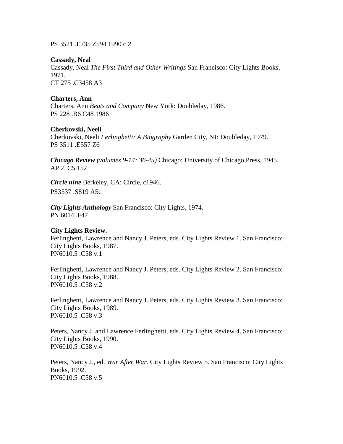PS 3521 .E735 Z594 1990 c.2

# **Cassady, Neal**

Cassady, Neal *The First Third and Other Writings* San Francisco: City Lights Books, 1971. CT 275 .C3458 A3

# **Charters, Ann**

Charters, Ann *Beats and Company* New York: Doubleday, 1986. PS 228 .B6 C48 1986

# **Cherkovski, Neeli**

Cherkovski, Neeli *Ferlinghetti: A Biography* Garden City, NJ: Doubleday, 1979. PS 3511 .E557 Z6

*Chicago Review (volumes 9-14; 36-45)* Chicago: University of Chicago Press, 1945. AP 2. C5 152

*Circle nine* Berkeley, CA: Circle, c1946. PS3537 .S819 A5c

*City Lights Anthology* San Francisco: City Lights, 1974. PN 6014 .F47

# **City Lights Review.**

Ferlinghetti, Lawrence and Nancy J. Peters, eds. City Lights Review 1. San Francisco: City Lights Books, 1987. PN6010.5 .C58 v.1

Ferlinghetti, Lawrence and Nancy J. Peters, eds. City Lights Review 2. San Francisco: City Lights Books, 1988. PN6010.5 .C58 v.2

Ferlinghetti, Lawrence and Nancy J. Peters, eds. City Lights Review 3. San Francisco: City Lights Books, 1989. PN6010.5 .C58 v.3

Peters, Nancy J. and Lawrence Ferlinghetti, eds. City Lights Review 4. San Francisco: City Lights Books, 1990. PN6010.5 .C58 v.4

Peters, Nancy J., ed. *War After War.* City Lights Review 5. San Francisco: City Lights Books, 1992. PN6010.5 .C58 v.5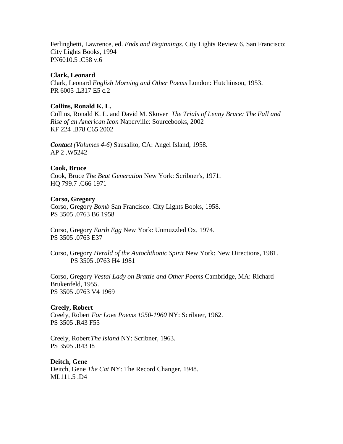Ferlinghetti, Lawrence, ed. *Ends and Beginnings.* City Lights Review 6. San Francisco: City Lights Books, 1994 PN6010.5 .C58 v.6

# **Clark, Leonard**

Clark, Leonard *English Morning and Other Poems* London: Hutchinson, 1953. PR 6005 .L317 E5 c.2

# **Collins, Ronald K. L.**

Collins, Ronald K. L. and David M. Skover *The Trials of Lenny Bruce: The Fall and Rise of an American Icon* Naperville: Sourcebooks, 2002 KF 224 .B78 C65 2002

*Contact (Volumes 4-6)* Sausalito, CA: Angel Island, 1958. AP 2 .W5242

# **Cook, Bruce**

Cook, Bruce *The Beat Generation* New York: Scribner's, 1971. HQ 799.7 .C66 1971

# **Corso, Gregory**

Corso, Gregory *Bomb* San Francisco: City Lights Books, 1958. PS 3505 .0763 B6 1958

Corso, Gregory *Earth Egg* New York: Unmuzzled Ox, 1974. PS 3505 .0763 E37

Corso, Gregory *Herald of the Autochthonic Spirit* New York: New Directions, 1981. PS 3505 .0763 H4 1981

Corso, Gregory *Vestal Lady on Brattle and Other Poems* Cambridge, MA: Richard Brukenfeld, 1955. PS 3505 .0763 V4 1969

# **Creely, Robert**

Creely, Robert *For Love Poems 1950-1960* NY: Scribner, 1962. PS 3505 .R43 F55

Creely, Robert*The Island* NY: Scribner, 1963. PS 3505 .R43 I8

**Deitch, Gene** Deitch, Gene *The Cat* NY: The Record Changer, 1948. ML111.5 .D4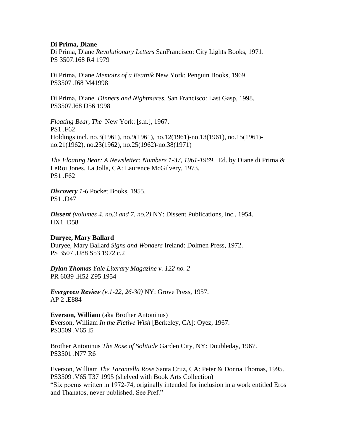#### **Di Prima, Diane**

Di Prima, Diane *Revolutionary Letters* SanFrancisco: City Lights Books, 1971. PS 3507.168 R4 1979

Di Prima, Diane *Memoirs of a Beatnik* New York: Penguin Books, 1969. PS3507 .I68 M41998

Di Prima, Diane. *Dinners and Nightmares.* San Francisco: Last Gasp, 1998. PS3507.I68 D56 1998

*Floating Bear, The* New York: [s.n.], 1967. PS1 .F62 Holdings incl. no.3(1961), no.9(1961), no.12(1961)-no.13(1961), no.15(1961) no.21(1962), no.23(1962), no.25(1962)-no.38(1971)

*The Floating Bear: A Newsletter: Numbers 1-37, 1961-1969*. Ed. by Diane di Prima & LeRoi Jones. La Jolla, CA: Laurence McGilvery, 1973. PS1 .F62

*Discovery 1-6* Pocket Books, 1955. PS1 .D47

*Dissent (volumes 4, no.3 and 7, no.2)* NY: Dissent Publications, Inc., 1954. HX1 .D58

# **Duryee, Mary Ballard**

Duryee, Mary Ballard *Signs and Wonders* Ireland: Dolmen Press, 1972. PS 3507 .U88 S53 1972 c.2

*Dylan Thomas Yale Literary Magazine v. 122 no. 2* PR 6039 .H52 Z95 1954

*Evergreen Review (v.1-22, 26-30)* NY: Grove Press, 1957. AP 2 .E884

**Everson, William** (aka Brother Antoninus) Everson, William *In the Fictive Wish* [Berkeley, CA]: Oyez, 1967. PS3509 .V65 I5

Brother Antoninus *The Rose of Solitude* Garden City, NY: Doubleday, 1967. PS3501 .N77 R6

Everson, William *The Tarantella Rose* Santa Cruz, CA: Peter & Donna Thomas, 1995. PS3509 .V65 T37 1995 (shelved with Book Arts Collection) "Six poems written in 1972-74, originally intended for inclusion in a work entitled Eros and Thanatos, never published. See Pref."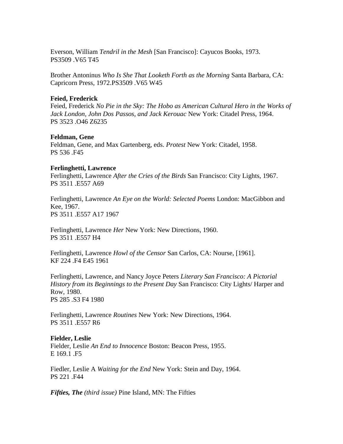Everson, William *Tendril in the Mesh* [San Francisco]: Cayucos Books, 1973. PS3509 .V65 T45

Brother Antoninus *Who Is She That Looketh Forth as the Morning* Santa Barbara, CA: Capricorn Press, 1972.PS3509 .V65 W45

#### **Feied, Frederick**

Feied, Frederick *No Pie in the Sky: The Hobo as American Cultural Hero in the Works of Jack London, John Dos Passos, and Jack Kerouac* New York: Citadel Press, 1964. PS 3523 .O46 Z6235

#### **Feldman, Gene**

Feldman, Gene, and Max Gartenberg, eds. *Protest* New York: Citadel, 1958. PS 536 .F45

#### **Ferlinghetti, Lawrence**

Ferlinghetti, Lawrence *After the Cries of the Birds* San Francisco: City Lights, 1967. PS 3511 .E557 A69

Ferlinghetti, Lawrence *An Eye on the World: Selected Poems* London: MacGibbon and Kee, 1967. PS 3511 .E557 A17 1967

Ferlinghetti, Lawrence *Her* New York: New Directions, 1960. PS 3511 .E557 H4

Ferlinghetti, Lawrence *Howl of the Censor* San Carlos, CA: Nourse, [1961]. KF 224 .F4 E45 1961

Ferlinghetti, Lawrence, and Nancy Joyce Peters *Literary San Francisco: A Pictorial History from its Beginnings to the Present Day* San Francisco: City Lights/ Harper and Row, 1980. PS 285 .S3 F4 1980

Ferlinghetti, Lawrence *Routines* New York: New Directions, 1964. PS 3511 .E557 R6

#### **Fielder, Leslie**

Fielder, Leslie *An End to Innocence* Boston: Beacon Press, 1955. E 169.1 .F5

Fiedler, Leslie A *Waiting for the End* New York: Stein and Day, 1964. PS 221 .F44

*Fifties, The (third issue)* Pine Island, MN: The Fifties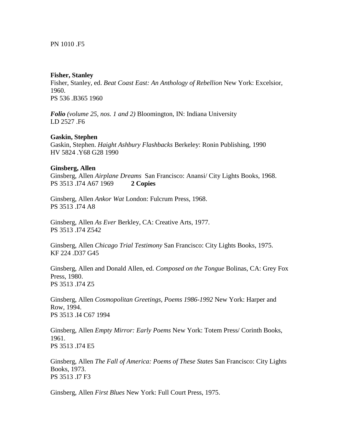# PN 1010 .F5

#### **Fisher, Stanley**

Fisher, Stanley, ed. *Beat Coast East: An Anthology of Rebellion* New York: Excelsior, 1960. PS 536 .B365 1960

*Folio (volume 25, nos. 1 and 2)* Bloomington, IN: Indiana University LD 2527 .F6

# **Gaskin, Stephen**

Gaskin, Stephen. *Haight Ashbury Flashbacks* Berkeley: Ronin Publishing, 1990 HV 5824 .Y68 G28 1990

#### **Ginsberg, Allen**

Ginsberg, Allen *Airplane Dreams* San Francisco: Anansi/ City Lights Books, 1968. PS 3513 .I74 A67 1969 **2 Copies**

Ginsberg, Allen *Ankor Wat* London: Fulcrum Press, 1968. PS 3513 .I74 A8

Ginsberg, Allen *As Ever* Berkley, CA: Creative Arts, 1977. PS 3513 .I74 Z542

Ginsberg, Allen *Chicago Trial Testimony* San Francisco: City Lights Books, 1975. KF 224 .D37 G45

Ginsberg, Allen and Donald Allen, ed. *Composed on the Tongue* Bolinas, CA: Grey Fox Press, 1980. PS 3513 .I74 Z5

Ginsberg, Allen *Cosmopolitan Greetings, Poems 1986-1992* New York: Harper and Row, 1994. PS 3513 .I4 C67 1994

Ginsberg, Allen *Empty Mirror: Early Poems* New York: Totem Press/ Corinth Books, 1961. PS 3513 .I74 E5

Ginsberg, Allen *The Fall of America: Poems of These States* San Francisco: City Lights Books, 1973. PS 3513 .I7 F3

Ginsberg, Allen *First Blues* New York: Full Court Press, 1975.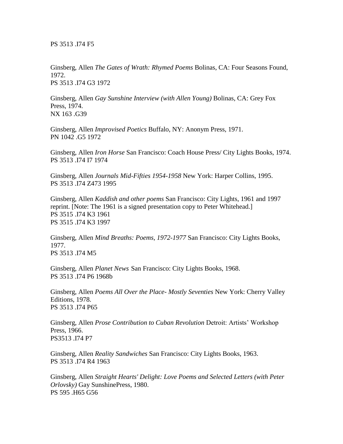Ginsberg, Allen *The Gates of Wrath: Rhymed Poems* Bolinas, CA: Four Seasons Found, 1972. PS 3513 .I74 G3 1972

Ginsberg, Allen *Gay Sunshine Interview (with Allen Young)* Bolinas, CA: Grey Fox Press, 1974. NX 163 .G39

Ginsberg, Allen *Improvised Poetics* Buffalo, NY: Anonym Press, 1971. PN 1042 .G5 1972

Ginsberg, Allen *Iron Horse* San Francisco: Coach House Press/ City Lights Books, 1974. PS 3513 .I74 I7 1974

Ginsberg, Allen *Journals Mid-Fifties 1954-1958* New York: Harper Collins, 1995. PS 3513 .I74 Z473 1995

Ginsberg, Allen *Kaddish and other poems* San Francisco: City Lights, 1961 and 1997 reprint. [Note: The 1961 is a signed presentation copy to Peter Whitehead.] PS 3515 .I74 K3 1961 PS 3515 .I74 K3 1997

Ginsberg, Allen *Mind Breaths: Poems, 1972-1977* San Francisco: City Lights Books, 1977. PS 3513 .I74 M5

Ginsberg, Allen *Planet News* San Francisco: City Lights Books, 1968. PS 3513 .I74 P6 1968b

Ginsberg, Allen *Poems All Over the Place- Mostly Seventies* New York: Cherry Valley Editions, 1978. PS 3513 .I74 P65

Ginsberg, Allen *Prose Contribution to Cuban Revolution* Detroit: Artists' Workshop Press, 1966. PS3513 .I74 P7

Ginsberg, Allen *Reality Sandwiches* San Francisco: City Lights Books, 1963. PS 3513 .I74 R4 1963

Ginsberg, Allen *Straight Hearts' Delight: Love Poems and Selected Letters (with Peter Orlovsky)* Gay SunshinePress, 1980. PS 595 .H65 G56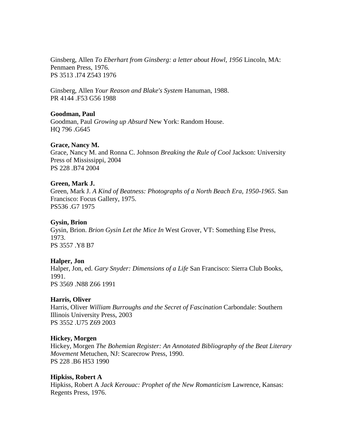Ginsberg, Allen *To Eberhart from Ginsberg: a letter about Howl, 1956* Lincoln, MA: Penmaen Press, 1976. PS 3513 .I74 Z543 1976

Ginsberg, Allen *Your Reason and Blake's System* Hanuman, 1988. PR 4144 .F53 G56 1988

# **Goodman, Paul**

Goodman, Paul *Growing up Absurd* New York: Random House. HQ 796 .G645

# **Grace, Nancy M.**

Grace, Nancy M. and Ronna C. Johnson *Breaking the Rule of Cool* Jackson: University Press of Mississippi, 2004 PS 228 .B74 2004

# **Green, Mark J.**

Green, Mark J. *A Kind of Beatness: Photographs of a North Beach Era, 1950-1965*. San Francisco: Focus Gallery, 1975. PS536 .G7 1975

# **Gysin, Brion**

Gysin, Brion. *Brion Gysin Let the Mice In* West Grover, VT: Something Else Press, 1973. PS 3557 .Y8 B7

# **Halper, Jon**

Halper, Jon, ed. *Gary Snyder: Dimensions of a Life* San Francisco: Sierra Club Books, 1991. PS 3569 .N88 Z66 1991

# **Harris, Oliver**

Harris, Oliver *William Burroughs and the Secret of Fascination* Carbondale: Southern Illinois University Press, 2003 PS 3552 .U75 Z69 2003

# **Hickey, Morgen**

Hickey, Morgen *The Bohemian Register: An Annotated Bibliography of the Beat Literary Movement* Metuchen, NJ: Scarecrow Press, 1990. PS 228 .B6 H53 1990

# **Hipkiss, Robert A**

Hipkiss, Robert A *Jack Kerouac: Prophet of the New Romanticism* Lawrence, Kansas: Regents Press, 1976.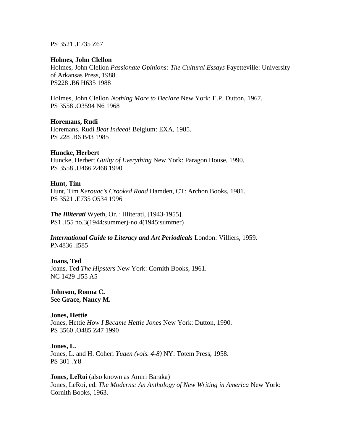#### PS 3521 .E735 Z67

#### **Holmes, John Clellon**

Holmes, John Clellon *Passionate Opinions: The Cultural Essays* Fayetteville: University of Arkansas Press, 1988. PS228 .B6 H635 1988

Holmes, John Clellon *Nothing More to Declare* New York: E.P. Dutton, 1967. PS 3558 .O3594 N6 1968

#### **Horemans, Rudi**

Horemans, Rudi *Beat Indeed!* Belgium: EXA, 1985. PS 228 .B6 B43 1985

#### **Huncke, Herbert**

Huncke, Herbert *Guilty of Everything* New York: Paragon House, 1990. PS 3558 .U466 Z468 1990

#### **Hunt, Tim**

Hunt, Tim *Kerouac's Crooked Road* Hamden, CT: Archon Books, 1981. PS 3521 .E735 O534 1996

*The Illiterati* Wyeth, Or. : Illiterati, [1943-1955]. PS1 .I55 no.3(1944:summer)-no.4(1945:summer)

*International Guide to Literacy and Art Periodicals* London: Villiers, 1959. PN4836 .I585

**Joans, Ted** Joans, Ted *The Hipsters* New York: Cornith Books, 1961. NC 1429 .J55 A5

**Johnson, Ronna C.** See **Grace, Nancy M.**

**Jones, Hettie** Jones, Hettie *How I Became Hettie Jones* New York: Dutton, 1990. PS 3560 .O485 Z47 1990

**Jones, L.** Jones, L. and H. Coheri *Yugen (vols. 4-8)* NY: Totem Press, 1958. PS 301 .Y8

**Jones, LeRoi** (also known as Amiri Baraka) Jones, LeRoi, ed. *The Moderns: An Anthology of New Writing in America* New York: Cornith Books, 1963.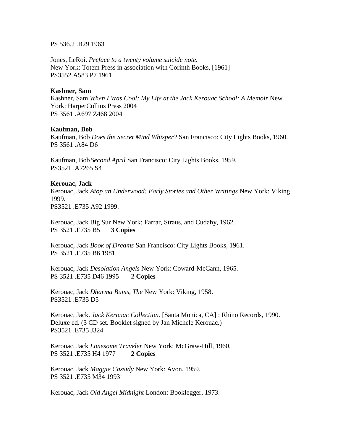PS 536.2 .B29 1963

Jones, LeRoi. *Preface to a twenty volume suicide note.* New York: Totem Press in association with Corinth Books, [1961] PS3552.A583 P7 1961

# **Kashner, Sam**

Kashner, Sam *When I Was Cool: My Life at the Jack Kerouac School: A Memoir* New York: HarperCollins Press 2004 PS 3561 .A697 Z468 2004

# **Kaufman, Bob**

Kaufman, Bob *Does the Secret Mind Whisper?* San Francisco: City Lights Books, 1960. PS 3561 .A84 D6

Kaufman, Bob*Second April* San Francisco: City Lights Books, 1959. PS3521 .A7265 S4

# **Kerouac, Jack**

Kerouac, Jack *Atop an Underwood: Early Stories and Other Writings* New York: Viking 1999.

PS3521 .E735 A92 1999.

Kerouac, Jack Big Sur New York: Farrar, Straus, and Cudahy, 1962. PS 3521 .E735 B5 **3 Copies**

Kerouac, Jack *Book of Dreams* San Francisco: City Lights Books, 1961. PS 3521 .E735 B6 1981

Kerouac, Jack *Desolation Angels* New York: Coward-McCann, 1965. PS 3521 .E735 D46 1995 **2 Copies**

Kerouac, Jack *Dharma Bums, The* New York: Viking, 1958. PS3521 .E735 D5

Kerouac, Jack. *Jack Kerouac Collection*. [Santa Monica, CA] : Rhino Records, 1990. Deluxe ed. (3 CD set. Booklet signed by Jan Michele Kerouac.) PS3521 .E735 J324

Kerouac, Jack *Lonesome Traveler* New York: McGraw-Hill, 1960. PS 3521 .E735 H4 1977 **2 Copies**

Kerouac, Jack *Maggie Cassidy* New York: Avon, 1959. PS 3521 .E735 M34 1993

Kerouac, Jack *Old Angel Midnight* London: Booklegger, 1973.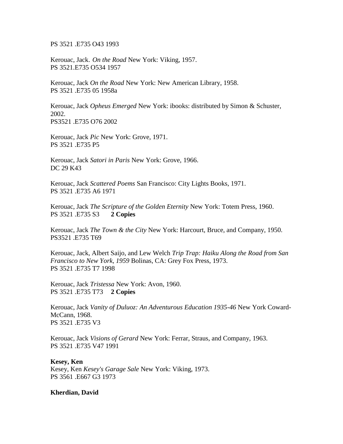PS 3521 .E735 O43 1993

Kerouac, Jack. *On the Road* New York: Viking, 1957. PS 3521.E735 O534 1957

Kerouac, Jack *On the Road* New York: New American Library, 1958. PS 3521 .E735 05 1958a

Kerouac, Jack *Opheus Emerged* New York: ibooks: distributed by Simon & Schuster, 2002. PS3521 .E735 O76 2002

Kerouac, Jack *Pic* New York: Grove, 1971. PS 3521 .E735 P5

Kerouac, Jack *Satori in Paris* New York: Grove, 1966. DC 29 K43

Kerouac, Jack *Scattered Poems* San Francisco: City Lights Books, 1971. PS 3521 .E735 A6 1971

Kerouac, Jack *The Scripture of the Golden Eternity* New York: Totem Press, 1960. PS 3521 .E735 S3 **2 Copies**

Kerouac, Jack *The Town & the City* New York: Harcourt, Bruce, and Company, 1950. PS3521 .E735 T69

Kerouac, Jack, Albert Saijo, and Lew Welch *Trip Trap: Haiku Along the Road from San Francisco to New York, 1959* Bolinas, CA: Grey Fox Press, 1973. PS 3521 .E735 T7 1998

Kerouac, Jack *Tristessa* New York: Avon, 1960. PS 3521 .E735 T73 **2 Copies**

Kerouac, Jack *Vanity of Duluoz: An Adventurous Education 1935-46* New York Coward-McCann, 1968. PS 3521 .E735 V3

Kerouac, Jack *Visions of Gerard* New York: Ferrar, Straus, and Company, 1963. PS 3521 .E735 V47 1991

**Kesey, Ken** Kesey, Ken *Kesey's Garage Sale* New York: Viking, 1973. PS 3561 .E667 G3 1973

**Kherdian, David**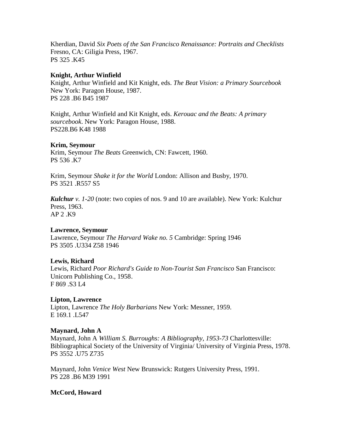Kherdian, David *Six Poets of the San Francisco Renaissance: Portraits and Checklists* Fresno, CA: Giligia Press, 1967. PS 325 .K45

# **Knight, Arthur Winfield**

Knight, Arthur Winfield and Kit Knight, eds. *The Beat Vision: a Primary Sourcebook* New York: Paragon House, 1987. PS 228 .B6 B45 1987

Knight, Arthur Winfield and Kit Knight, eds. *Kerouac and the Beats: A primary sourcebook*. New York: Paragon House, 1988. PS228.B6 K48 1988

# **Krim, Seymour**

Krim, Seymour *The Beats* Greenwich, CN: Fawcett, 1960. PS 536 .K7

Krim, Seymour *Shake it for the World* London: Allison and Busby, 1970. PS 3521 .R557 S5

*Kulchur v. 1-20* (note: two copies of nos. 9 and 10 are available). New York: Kulchur Press, 1963. AP 2 .K9

# **Lawrence, Seymour**

Lawrence, Seymour *The Harvard Wake no. 5* Cambridge: Spring 1946 PS 3505 .U334 Z58 1946

# **Lewis, Richard**

Lewis, Richard *Poor Richard's Guide to Non-Tourist San Francisco* San Francisco: Unicorn Publishing Co., 1958. F 869 .S3 L4

# **Lipton, Lawrence**

Lipton, Lawrence *The Holy Barbarians* New York: Messner, 1959. E 169.1 .L547

# **Maynard, John A**

Maynard, John A *William S. Burroughs: A Bibliography, 1953-73* Charlottesville: Bibliographical Society of the University of Virginia/ University of Virginia Press, 1978. PS 3552 .U75 Z735

Maynard, John *Venice West* New Brunswick: Rutgers University Press, 1991. PS 228 .B6 M39 1991

# **McCord, Howard**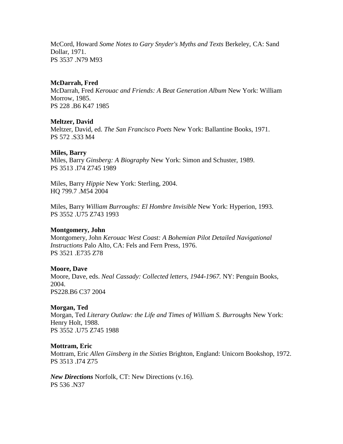McCord, Howard *Some Notes to Gary Snyder's Myths and Texts* Berkeley, CA: Sand Dollar, 1971. PS 3537 .N79 M93

# **McDarrah, Fred**

McDarrah, Fred *Kerouac and Friends: A Beat Generation Album* New York: William Morrow, 1985. PS 228 .B6 K47 1985

# **Meltzer, David**

Meltzer, David, ed. *The San Francisco Poets* New York: Ballantine Books, 1971. PS 572 .S33 M4

# **Miles, Barry**

Miles, Barry *Ginsberg: A Biography* New York: Simon and Schuster, 1989. PS 3513 .I74 Z745 1989

Miles, Barry *Hippie* New York: Sterling, 2004. HQ 799.7 .M54 2004

Miles, Barry *William Burroughs: El Hombre Invisible* New York: Hyperion, 1993. PS 3552 .U75 Z743 1993

# **Montgomery, John**

Montgomery, John *Kerouac West Coast: A Bohemian Pilot Detailed Navigational Instructions* Palo Alto, CA: Fels and Fern Press, 1976. PS 3521 .E735 Z78

# **Moore, Dave**

Moore, Dave, eds. *Neal Cassady: Collected letters, 1944-1967.* NY: Penguin Books, 2004. PS228.B6 C37 2004

# **Morgan, Ted**

Morgan, Ted *Literary Outlaw: the Life and Times of William S. Burroughs* New York: Henry Holt, 1988. PS 3552 .U75 Z745 1988

# **Mottram, Eric**

Mottram, Eric *Allen Ginsberg in the Sixties* Brighton, England: Unicorn Bookshop, 1972. PS 3513 .I74 Z75

*New Directions* Norfolk, CT: New Directions (v.16). PS 536 .N37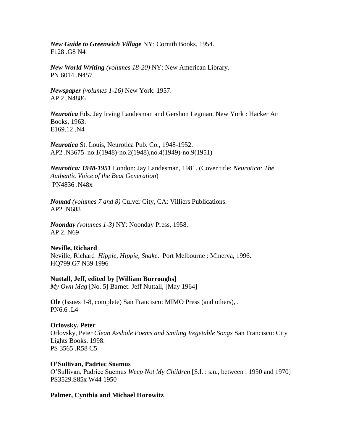*New Guide to Greenwich Village* NY: Cornith Books, 1954. F128 .G8 N4

*New World Writing (volumes 18-20)* NY: New American Library. PN 6014 .N457

*Newspaper (volumes 1-16)* New York: 1957. AP 2 .N4886

*Neurotica* Eds. Jay Irving Landesman and Gershon Legman. New York : Hacker Art Books, 1963. E169.12 .N4

*Neurotica* St. Louis, Neurotica Pub. Co., 1948-1952. AP2 .N3675 no.1(1948)-no.2(1948),no.4(1949)-no.9(1951)

*Neurotica: 1948-1951* London: Jay Landesman, 1981. (Cover title: *Neurotica: The Authentic Voice of the Beat Generation*) PN4836 .N48x

*Nomad (volumes 7 and 8)* Culver City, CA: Villiers Publications. AP2 .N688

*Noonday (volumes 1-3)* NY: Noonday Press, 1958. AP 2. N69

# **Neville, Richard**

Neville, Richard *Hippie, Hippie, Shake*. Port Melbourne : Minerva, 1996. HQ799.G7 N39 1996

# **Nuttall, Jeff, edited by [William Burroughs]**

*My Own Mag* [No. 5] Barnet: Jeff Nuttall, [May 1964]

**Ole** (Issues 1-8, complete) San Francisco: MIMO Press (and others), . PN6.6 .L4

# **Orlovsky, Peter**

Orlovsky, Peter *Clean Asshole Poems and Smiling Vegetable Songs* San Francisco: City Lights Books, 1998. PS 3565 .R58 C5

# **O'Sullivan, Padriec Suemus**

O'Sullivan, Padriec Suemus *Weep Not My Children* [S.l. : s.n., between : 1950 and 1970] PS3529.S85x W44 1950

# **Palmer, Cynthia and Michael Horowitz**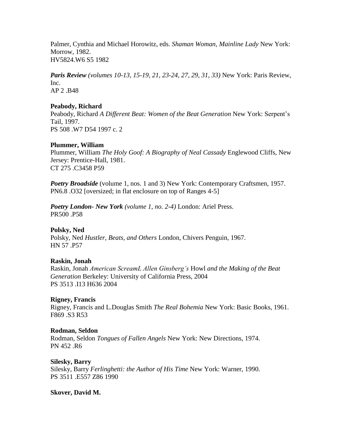Palmer, Cynthia and Michael Horowitz, eds. *Shaman Woman, Mainline Lady* New York: Morrow, 1982. HV5824.W6 S5 1982

*Paris Review (volumes 10-13, 15-19, 21, 23-24, 27, 29, 31, 33)* New York: Paris Review, Inc. AP 2 .B48

# **Peabody, Richard**

Peabody, Richard *A Different Beat: Women of the Beat Generation* New York: Serpent's Tail, 1997. PS 508 .W7 D54 1997 c. 2

# **Plummer, William**

Plummer, William *The Holy Goof: A Biography of Neal Cassady* Englewood Cliffs, New Jersey: Prentice-Hall, 1981. CT 275 .C3458 P59

*Poetry Broadside* (volume 1, nos. 1 and 3) New York: Contemporary Craftsmen, 1957. PN6.8 .O32 [oversized; in flat enclosure on top of Ranges 4-5]

*Poetry London- New York (volume 1, no. 2-4)* London: Ariel Press. PR500 .P58

# **Polsky, Ned**

Polsky, Ned *Hustler, Beats, and Others* London, Chivers Penguin, 1967. HN 57 .P57

# **Raskin, Jonah**

Raskin, Jonah *American ScreamL Allen Ginsberg's* Howl *and the Making of the Beat Generation* Berkeley: University of California Press, 2004 PS 3513 .I13 H636 2004

# **Rigney, Francis**

Rigney, Francis and L.Douglas Smith *The Real Bohemia* New York: Basic Books, 1961. F869 .S3 R53

# **Rodman, Seldon**

Rodman, Seldon *Tongues of Fallen Angels* New York: New Directions, 1974. PN 452 .R6

# **Silesky, Barry**

Silesky, Barry *Ferlinghetti: the Author of His Time* New York: Warner, 1990. PS 3511 .E557 Z86 1990

**Skover, David M.**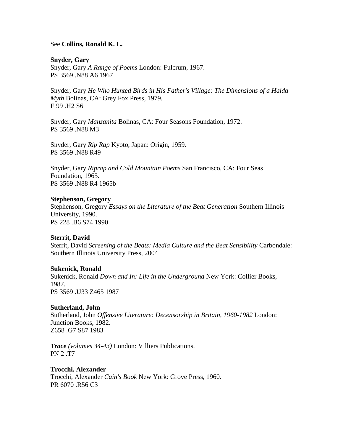# See **Collins, Ronald K. L.**

**Snyder, Gary** Snyder, Gary *A Range of Poems* London: Fulcrum, 1967. PS 3569 .N88 A6 1967

Snyder, Gary *He Who Hunted Birds in His Father's Village: The Dimensions of a Haida Myth* Bolinas, CA: Grey Fox Press, 1979. E 99 .H2 S6

Snyder, Gary *Manzanita* Bolinas, CA: Four Seasons Foundation, 1972. PS 3569 .N88 M3

Snyder, Gary *Rip Rap* Kyoto, Japan: Origin, 1959. PS 3569 .N88 R49

Snyder, Gary *Riprap and Cold Mountain Poems* San Francisco, CA: Four Seas Foundation, 1965. PS 3569 .N88 R4 1965b

#### **Stephenson, Gregory**

Stephenson, Gregory *Essays on the Literature of the Beat Generation* Southern Illinois University, 1990. PS 228 .B6 S74 1990

# **Sterrit, David**

Sterrit, David *Screening of the Beats: Media Culture and the Beat Sensibility* Carbondale: Southern Illinois University Press, 2004

#### **Sukenick, Ronald**

Sukenick, Ronald *Down and In: Life in the Underground* New York: Collier Books, 1987. PS 3569 .U33 Z465 1987

# **Sutherland, John**

Sutherland, John *Offensive Literature: Decensorship in Britain, 1960-1982* London: Junction Books, 1982. Z658 .G7 S87 1983

*Trace (volumes 34-43)* London: Villiers Publications. PN 2 .T7

**Trocchi, Alexander** Trocchi, Alexander *Cain's Book* New York: Grove Press, 1960. PR 6070 .R56 C3